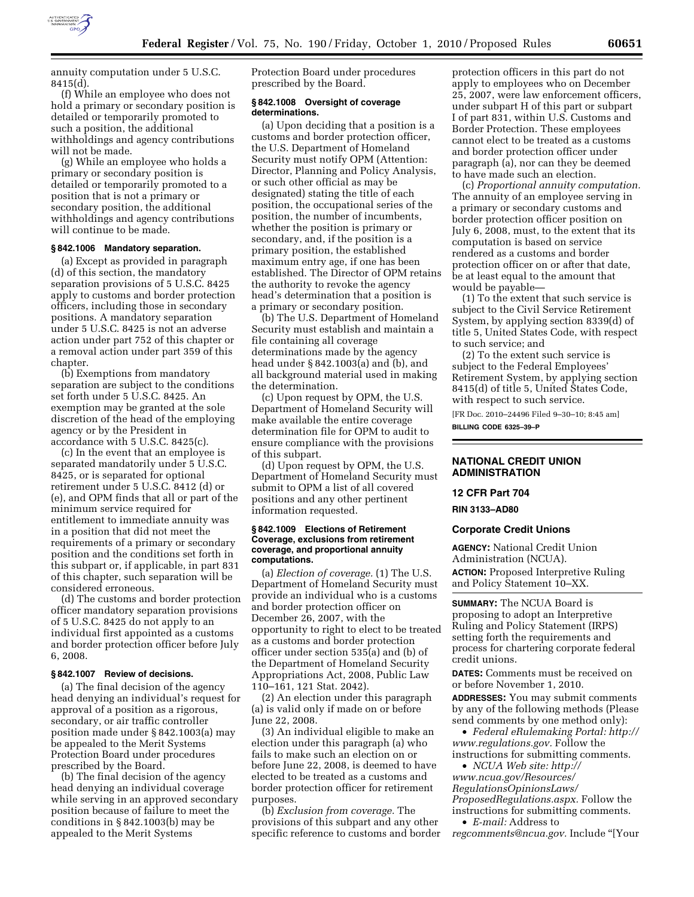

annuity computation under 5 U.S.C. 8415(d).

(f) While an employee who does not hold a primary or secondary position is detailed or temporarily promoted to such a position, the additional withholdings and agency contributions will not be made.

(g) While an employee who holds a primary or secondary position is detailed or temporarily promoted to a position that is not a primary or secondary position, the additional withholdings and agency contributions will continue to be made.

### **§ 842.1006 Mandatory separation.**

(a) Except as provided in paragraph (d) of this section, the mandatory separation provisions of 5 U.S.C. 8425 apply to customs and border protection officers, including those in secondary positions. A mandatory separation under 5 U.S.C. 8425 is not an adverse action under part 752 of this chapter or a removal action under part 359 of this chapter.

(b) Exemptions from mandatory separation are subject to the conditions set forth under 5 U.S.C. 8425. An exemption may be granted at the sole discretion of the head of the employing agency or by the President in accordance with 5 U.S.C. 8425(c).

(c) In the event that an employee is separated mandatorily under 5 U.S.C. 8425, or is separated for optional retirement under 5 U.S.C. 8412 (d) or (e), and OPM finds that all or part of the minimum service required for entitlement to immediate annuity was in a position that did not meet the requirements of a primary or secondary position and the conditions set forth in this subpart or, if applicable, in part 831 of this chapter, such separation will be considered erroneous.

(d) The customs and border protection officer mandatory separation provisions of 5 U.S.C. 8425 do not apply to an individual first appointed as a customs and border protection officer before July 6, 2008.

# **§ 842.1007 Review of decisions.**

(a) The final decision of the agency head denying an individual's request for approval of a position as a rigorous, secondary, or air traffic controller position made under § 842.1003(a) may be appealed to the Merit Systems Protection Board under procedures prescribed by the Board.

(b) The final decision of the agency head denying an individual coverage while serving in an approved secondary position because of failure to meet the conditions in § 842.1003(b) may be appealed to the Merit Systems

Protection Board under procedures prescribed by the Board.

## **§ 842.1008 Oversight of coverage determinations.**

(a) Upon deciding that a position is a customs and border protection officer, the U.S. Department of Homeland Security must notify OPM (Attention: Director, Planning and Policy Analysis, or such other official as may be designated) stating the title of each position, the occupational series of the position, the number of incumbents, whether the position is primary or secondary, and, if the position is a primary position, the established maximum entry age, if one has been established. The Director of OPM retains the authority to revoke the agency head's determination that a position is a primary or secondary position.

(b) The U.S. Department of Homeland Security must establish and maintain a file containing all coverage determinations made by the agency head under § 842.1003(a) and (b), and all background material used in making the determination.

(c) Upon request by OPM, the U.S. Department of Homeland Security will make available the entire coverage determination file for OPM to audit to ensure compliance with the provisions of this subpart.

(d) Upon request by OPM, the U.S. Department of Homeland Security must submit to OPM a list of all covered positions and any other pertinent information requested.

#### **§ 842.1009 Elections of Retirement Coverage, exclusions from retirement coverage, and proportional annuity computations.**

(a) *Election of coverage.* (1) The U.S. Department of Homeland Security must provide an individual who is a customs and border protection officer on December 26, 2007, with the opportunity to right to elect to be treated as a customs and border protection officer under section 535(a) and (b) of the Department of Homeland Security Appropriations Act, 2008, Public Law 110–161, 121 Stat. 2042).

(2) An election under this paragraph (a) is valid only if made on or before June 22, 2008.

(3) An individual eligible to make an election under this paragraph (a) who fails to make such an election on or before June 22, 2008, is deemed to have elected to be treated as a customs and border protection officer for retirement purposes.

(b) *Exclusion from coverage.* The provisions of this subpart and any other specific reference to customs and border

protection officers in this part do not apply to employees who on December 25, 2007, were law enforcement officers, under subpart H of this part or subpart I of part 831, within U.S. Customs and Border Protection. These employees cannot elect to be treated as a customs and border protection officer under paragraph (a), nor can they be deemed to have made such an election.

(c) *Proportional annuity computation.*  The annuity of an employee serving in a primary or secondary customs and border protection officer position on July 6, 2008, must, to the extent that its computation is based on service rendered as a customs and border protection officer on or after that date, be at least equal to the amount that would be payable—

(1) To the extent that such service is subject to the Civil Service Retirement System, by applying section 8339(d) of title 5, United States Code, with respect to such service; and

(2) To the extent such service is subject to the Federal Employees' Retirement System, by applying section 8415(d) of title 5, United States Code, with respect to such service.

[FR Doc. 2010–24496 Filed 9–30–10; 8:45 am] **BILLING CODE 6325–39–P** 

### **NATIONAL CREDIT UNION ADMINISTRATION**

#### **12 CFR Part 704**

**RIN 3133–AD80** 

#### **Corporate Credit Unions**

**AGENCY:** National Credit Union Administration (NCUA). **ACTION:** Proposed Interpretive Ruling

and Policy Statement 10–XX.

**SUMMARY:** The NCUA Board is proposing to adopt an Interpretive Ruling and Policy Statement (IRPS) setting forth the requirements and process for chartering corporate federal credit unions.

**DATES:** Comments must be received on or before November 1, 2010.

**ADDRESSES:** You may submit comments by any of the following methods (Please send comments by one method only):

• *Federal eRulemaking Portal: [http://](http://www.regulations.gov)  [www.regulations.gov.](http://www.regulations.gov)* Follow the instructions for submitting comments.

• *NCUA Web site: [http://](http://www.ncua.gov/Resources/RegulationsOpinionsLaws/ProposedRegulations.aspx)  [www.ncua.gov/Resources/](http://www.ncua.gov/Resources/RegulationsOpinionsLaws/ProposedRegulations.aspx)  [RegulationsOpinionsLaws/](http://www.ncua.gov/Resources/RegulationsOpinionsLaws/ProposedRegulations.aspx) [ProposedRegulations.aspx.](http://www.ncua.gov/Resources/RegulationsOpinionsLaws/ProposedRegulations.aspx)* Follow the instructions for submitting comments.

• *E-mail:* Address to *[regcomments@ncua.gov.](mailto:regcomments@ncua.gov)* Include ''[Your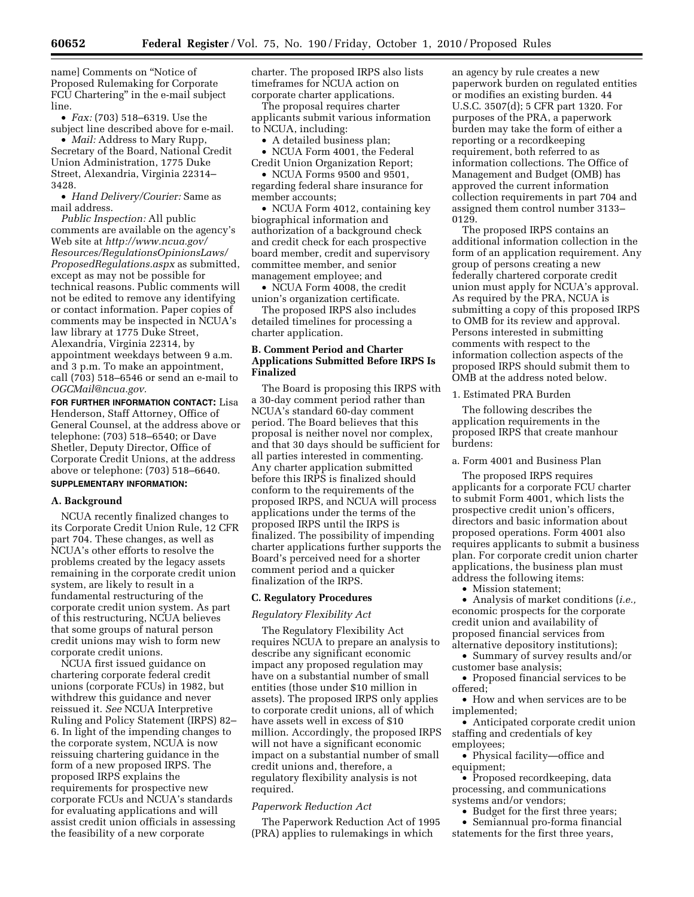name] Comments on ''Notice of Proposed Rulemaking for Corporate FCU Chartering'' in the e-mail subject line.

• *Fax:* (703) 518–6319. Use the subject line described above for e-mail.

• *Mail:* Address to Mary Rupp, Secretary of the Board, National Credit Union Administration, 1775 Duke Street, Alexandria, Virginia 22314– 3428.

• *Hand Delivery/Courier:* Same as mail address.

*Public Inspection:* All public comments are available on the agency's Web site at *[http://www.ncua.gov/](http://www.ncua.gov/Resources/RegulationsOpinionsLaws/ProposedRegulations.aspx) [Resources/RegulationsOpinionsLaws/](http://www.ncua.gov/Resources/RegulationsOpinionsLaws/ProposedRegulations.aspx) [ProposedRegulations.aspx](http://www.ncua.gov/Resources/RegulationsOpinionsLaws/ProposedRegulations.aspx)* as submitted, except as may not be possible for technical reasons. Public comments will not be edited to remove any identifying or contact information. Paper copies of comments may be inspected in NCUA's law library at 1775 Duke Street, Alexandria, Virginia 22314, by appointment weekdays between 9 a.m. and 3 p.m. To make an appointment, call (703) 518–6546 or send an e-mail to *[OGCMail@ncua.gov.](mailto:OGCMail@ncua.gov)* 

**FOR FURTHER INFORMATION CONTACT:** Lisa Henderson, Staff Attorney, Office of General Counsel, at the address above or telephone: (703) 518–6540; or Dave Shetler, Deputy Director, Office of Corporate Credit Unions, at the address above or telephone: (703) 518–6640.

# **SUPPLEMENTARY INFORMATION:**

### **A. Background**

NCUA recently finalized changes to its Corporate Credit Union Rule, 12 CFR part 704. These changes, as well as NCUA's other efforts to resolve the problems created by the legacy assets remaining in the corporate credit union system, are likely to result in a fundamental restructuring of the corporate credit union system. As part of this restructuring, NCUA believes that some groups of natural person credit unions may wish to form new corporate credit unions.

NCUA first issued guidance on chartering corporate federal credit unions (corporate FCUs) in 1982, but withdrew this guidance and never reissued it. *See* NCUA Interpretive Ruling and Policy Statement (IRPS) 82– 6. In light of the impending changes to the corporate system, NCUA is now reissuing chartering guidance in the form of a new proposed IRPS. The proposed IRPS explains the requirements for prospective new corporate FCUs and NCUA's standards for evaluating applications and will assist credit union officials in assessing the feasibility of a new corporate

charter. The proposed IRPS also lists timeframes for NCUA action on corporate charter applications.

The proposal requires charter applicants submit various information to NCUA, including:

• A detailed business plan;

• NCUA Form 4001, the Federal Credit Union Organization Report;

• NCUA Forms 9500 and 9501, regarding federal share insurance for member accounts;

• NCUA Form 4012, containing key biographical information and authorization of a background check and credit check for each prospective board member, credit and supervisory committee member, and senior management employee; and

• NCUA Form 4008, the credit union's organization certificate.

The proposed IRPS also includes detailed timelines for processing a charter application.

# **B. Comment Period and Charter Applications Submitted Before IRPS Is Finalized**

The Board is proposing this IRPS with a 30-day comment period rather than NCUA's standard 60-day comment period. The Board believes that this proposal is neither novel nor complex, and that 30 days should be sufficient for all parties interested in commenting. Any charter application submitted before this IRPS is finalized should conform to the requirements of the proposed IRPS, and NCUA will process applications under the terms of the proposed IRPS until the IRPS is finalized. The possibility of impending charter applications further supports the Board's perceived need for a shorter comment period and a quicker finalization of the IRPS.

# **C. Regulatory Procedures**

# *Regulatory Flexibility Act*

The Regulatory Flexibility Act requires NCUA to prepare an analysis to describe any significant economic impact any proposed regulation may have on a substantial number of small entities (those under \$10 million in assets). The proposed IRPS only applies to corporate credit unions, all of which have assets well in excess of \$10 million. Accordingly, the proposed IRPS will not have a significant economic impact on a substantial number of small credit unions and, therefore, a regulatory flexibility analysis is not required.

### *Paperwork Reduction Act*

The Paperwork Reduction Act of 1995 (PRA) applies to rulemakings in which

an agency by rule creates a new paperwork burden on regulated entities or modifies an existing burden. 44 U.S.C. 3507(d); 5 CFR part 1320. For purposes of the PRA, a paperwork burden may take the form of either a reporting or a recordkeeping requirement, both referred to as information collections. The Office of Management and Budget (OMB) has approved the current information collection requirements in part 704 and assigned them control number 3133– 0129.

The proposed IRPS contains an additional information collection in the form of an application requirement. Any group of persons creating a new federally chartered corporate credit union must apply for NCUA's approval. As required by the PRA, NCUA is submitting a copy of this proposed IRPS to OMB for its review and approval. Persons interested in submitting comments with respect to the information collection aspects of the proposed IRPS should submit them to OMB at the address noted below.

1. Estimated PRA Burden

The following describes the application requirements in the proposed IRPS that create manhour burdens:

a. Form 4001 and Business Plan

The proposed IRPS requires applicants for a corporate FCU charter to submit Form 4001, which lists the prospective credit union's officers, directors and basic information about proposed operations. Form 4001 also requires applicants to submit a business plan. For corporate credit union charter applications, the business plan must address the following items:

• Mission statement;

• Analysis of market conditions (*i.e.,*  economic prospects for the corporate credit union and availability of proposed financial services from alternative depository institutions);

• Summary of survey results and/or customer base analysis;

• Proposed financial services to be offered;

• How and when services are to be implemented;

• Anticipated corporate credit union staffing and credentials of key employees;

• Physical facility—office and equipment;

• Proposed recordkeeping, data processing, and communications systems and/or vendors;

• Budget for the first three years;

• Semiannual pro-forma financial statements for the first three years,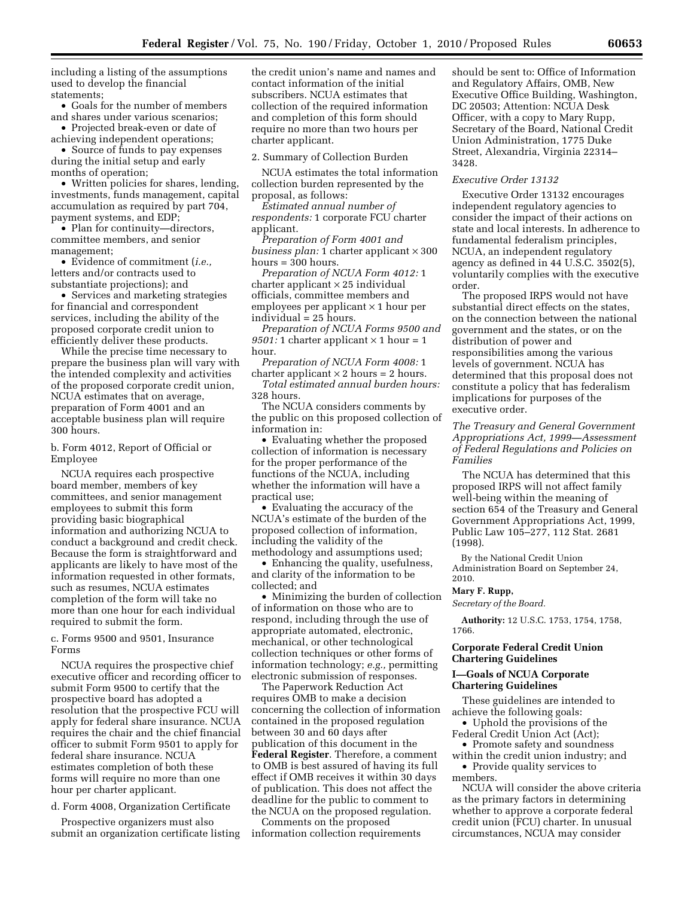including a listing of the assumptions used to develop the financial statements;

• Goals for the number of members and shares under various scenarios;

• Projected break-even or date of achieving independent operations;

• Source of funds to pay expenses during the initial setup and early months of operation;

• Written policies for shares, lending, investments, funds management, capital accumulation as required by part 704, payment systems, and EDP;

• Plan for continuity—directors, committee members, and senior management;

• Evidence of commitment (*i.e.,*  letters and/or contracts used to substantiate projections); and

• Services and marketing strategies for financial and correspondent services, including the ability of the proposed corporate credit union to efficiently deliver these products.

While the precise time necessary to prepare the business plan will vary with the intended complexity and activities of the proposed corporate credit union, NCUA estimates that on average, preparation of Form 4001 and an acceptable business plan will require 300 hours.

b. Form 4012, Report of Official or Employee

NCUA requires each prospective board member, members of key committees, and senior management employees to submit this form providing basic biographical information and authorizing NCUA to conduct a background and credit check. Because the form is straightforward and applicants are likely to have most of the information requested in other formats, such as resumes, NCUA estimates completion of the form will take no more than one hour for each individual required to submit the form.

c. Forms 9500 and 9501, Insurance Forms

NCUA requires the prospective chief executive officer and recording officer to submit Form 9500 to certify that the prospective board has adopted a resolution that the prospective FCU will apply for federal share insurance. NCUA requires the chair and the chief financial officer to submit Form 9501 to apply for federal share insurance. NCUA estimates completion of both these forms will require no more than one hour per charter applicant.

d. Form 4008, Organization Certificate

Prospective organizers must also submit an organization certificate listing

the credit union's name and names and contact information of the initial subscribers. NCUA estimates that collection of the required information and completion of this form should require no more than two hours per charter applicant.

2. Summary of Collection Burden

NCUA estimates the total information collection burden represented by the proposal, as follows:

*Estimated annual number of respondents:* 1 corporate FCU charter applicant.

*Preparation of Form 4001 and business plan:* 1 charter applicant  $\times$  300 hours = 300 hours.

*Preparation of NCUA Form 4012:* 1  $character$  applicant  $\times$  25 individual officials, committee members and employees per applicant  $\times$  1 hour per individual = 25 hours.

*Preparation of NCUA Forms 9500 and 9501:* 1 charter applicant  $\times$  1 hour = 1 hour.

*Preparation of NCUA Form 4008:* 1 charter applicant  $\times$  2 hours = 2 hours.

*Total estimated annual burden hours:*  328 hours.

The NCUA considers comments by the public on this proposed collection of information in:

• Evaluating whether the proposed collection of information is necessary for the proper performance of the functions of the NCUA, including whether the information will have a practical use;

• Evaluating the accuracy of the NCUA's estimate of the burden of the proposed collection of information, including the validity of the methodology and assumptions used;

• Enhancing the quality, usefulness, and clarity of the information to be collected; and

• Minimizing the burden of collection of information on those who are to respond, including through the use of appropriate automated, electronic, mechanical, or other technological collection techniques or other forms of information technology; *e.g.,* permitting electronic submission of responses.

The Paperwork Reduction Act requires OMB to make a decision concerning the collection of information contained in the proposed regulation between 30 and 60 days after publication of this document in the **Federal Register**. Therefore, a comment to OMB is best assured of having its full effect if OMB receives it within 30 days of publication. This does not affect the deadline for the public to comment to the NCUA on the proposed regulation.

Comments on the proposed information collection requirements should be sent to: Office of Information and Regulatory Affairs, OMB, New Executive Office Building, Washington, DC 20503; Attention: NCUA Desk Officer, with a copy to Mary Rupp, Secretary of the Board, National Credit Union Administration, 1775 Duke Street, Alexandria, Virginia 22314– 3428.

# *Executive Order 13132*

Executive Order 13132 encourages independent regulatory agencies to consider the impact of their actions on state and local interests. In adherence to fundamental federalism principles, NCUA, an independent regulatory agency as defined in 44 U.S.C. 3502(5), voluntarily complies with the executive order.

The proposed IRPS would not have substantial direct effects on the states, on the connection between the national government and the states, or on the distribution of power and responsibilities among the various levels of government. NCUA has determined that this proposal does not constitute a policy that has federalism implications for purposes of the executive order.

### *The Treasury and General Government Appropriations Act, 1999—Assessment of Federal Regulations and Policies on Families*

The NCUA has determined that this proposed IRPS will not affect family well-being within the meaning of section 654 of the Treasury and General Government Appropriations Act, 1999, Public Law 105–277, 112 Stat. 2681 (1998).

By the National Credit Union Administration Board on September 24, 2010.

#### **Mary F. Rupp,**

*Secretary of the Board.* 

**Authority:** 12 U.S.C. 1753, 1754, 1758, 1766.

# **Corporate Federal Credit Union Chartering Guidelines**

# **I—Goals of NCUA Corporate Chartering Guidelines**

These guidelines are intended to achieve the following goals:

• Uphold the provisions of the Federal Credit Union Act (Act);

• Promote safety and soundness within the credit union industry; and

• Provide quality services to members.

NCUA will consider the above criteria as the primary factors in determining whether to approve a corporate federal credit union (FCU) charter. In unusual circumstances, NCUA may consider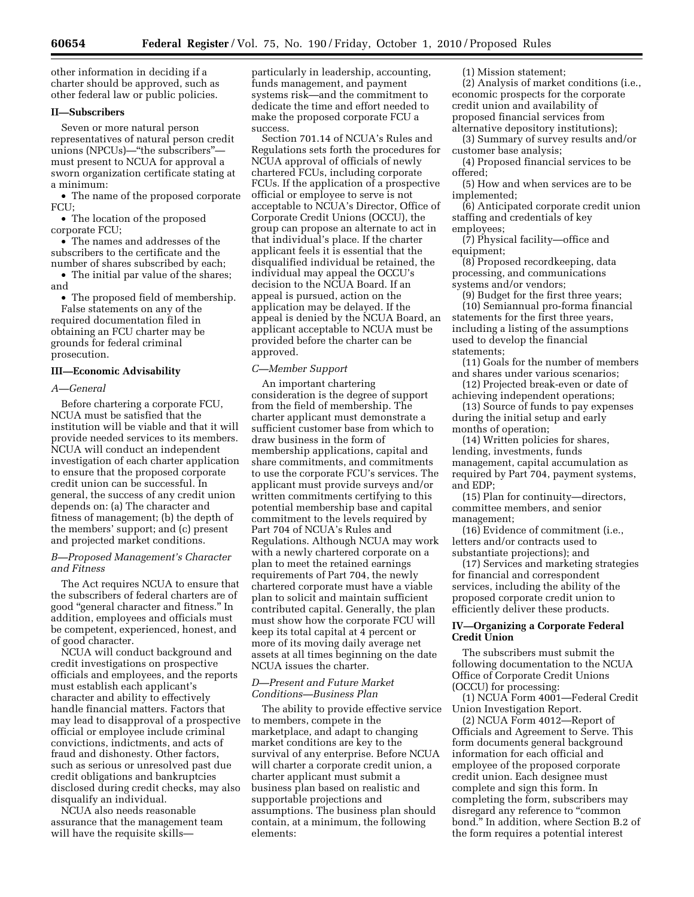other information in deciding if a charter should be approved, such as other federal law or public policies.

### **II—Subscribers**

Seven or more natural person representatives of natural person credit unions (NPCUs)—''the subscribers'' must present to NCUA for approval a sworn organization certificate stating at a minimum:

• The name of the proposed corporate FCU;

• The location of the proposed corporate FCU;

• The names and addresses of the subscribers to the certificate and the number of shares subscribed by each;

• The initial par value of the shares; and

• The proposed field of membership. False statements on any of the required documentation filed in obtaining an FCU charter may be grounds for federal criminal prosecution.

#### **III—Economic Advisability**

#### *A—General*

Before chartering a corporate FCU, NCUA must be satisfied that the institution will be viable and that it will provide needed services to its members. NCUA will conduct an independent investigation of each charter application to ensure that the proposed corporate credit union can be successful. In general, the success of any credit union depends on: (a) The character and fitness of management; (b) the depth of the members' support; and (c) present and projected market conditions.

### *B—Proposed Management's Character and Fitness*

The Act requires NCUA to ensure that the subscribers of federal charters are of good ''general character and fitness.'' In addition, employees and officials must be competent, experienced, honest, and of good character.

NCUA will conduct background and credit investigations on prospective officials and employees, and the reports must establish each applicant's character and ability to effectively handle financial matters. Factors that may lead to disapproval of a prospective official or employee include criminal convictions, indictments, and acts of fraud and dishonesty. Other factors, such as serious or unresolved past due credit obligations and bankruptcies disclosed during credit checks, may also disqualify an individual.

NCUA also needs reasonable assurance that the management team will have the requisite skillsparticularly in leadership, accounting, funds management, and payment systems risk—and the commitment to dedicate the time and effort needed to make the proposed corporate FCU a success.

Section 701.14 of NCUA's Rules and Regulations sets forth the procedures for NCUA approval of officials of newly chartered FCUs, including corporate FCUs. If the application of a prospective official or employee to serve is not acceptable to NCUA's Director, Office of Corporate Credit Unions (OCCU), the group can propose an alternate to act in that individual's place. If the charter applicant feels it is essential that the disqualified individual be retained, the individual may appeal the OCCU's decision to the NCUA Board. If an appeal is pursued, action on the application may be delayed. If the appeal is denied by the NCUA Board, an applicant acceptable to NCUA must be provided before the charter can be approved.

### *C—Member Support*

An important chartering consideration is the degree of support from the field of membership. The charter applicant must demonstrate a sufficient customer base from which to draw business in the form of membership applications, capital and share commitments, and commitments to use the corporate FCU's services. The applicant must provide surveys and/or written commitments certifying to this potential membership base and capital commitment to the levels required by Part 704 of NCUA's Rules and Regulations. Although NCUA may work with a newly chartered corporate on a plan to meet the retained earnings requirements of Part 704, the newly chartered corporate must have a viable plan to solicit and maintain sufficient contributed capital. Generally, the plan must show how the corporate FCU will keep its total capital at 4 percent or more of its moving daily average net assets at all times beginning on the date NCUA issues the charter.

### *D—Present and Future Market Conditions—Business Plan*

The ability to provide effective service to members, compete in the marketplace, and adapt to changing market conditions are key to the survival of any enterprise. Before NCUA will charter a corporate credit union, a charter applicant must submit a business plan based on realistic and supportable projections and assumptions. The business plan should contain, at a minimum, the following elements:

(1) Mission statement;

(2) Analysis of market conditions (i.e., economic prospects for the corporate credit union and availability of proposed financial services from alternative depository institutions);

(3) Summary of survey results and/or customer base analysis;

(4) Proposed financial services to be offered;

(5) How and when services are to be implemented;

(6) Anticipated corporate credit union staffing and credentials of key employees;

(7) Physical facility—office and equipment;

(8) Proposed recordkeeping, data processing, and communications systems and/or vendors;

(9) Budget for the first three years; (10) Semiannual pro-forma financial statements for the first three years, including a listing of the assumptions used to develop the financial statements;

(11) Goals for the number of members and shares under various scenarios;

(12) Projected break-even or date of achieving independent operations;

(13) Source of funds to pay expenses during the initial setup and early months of operation;

(14) Written policies for shares, lending, investments, funds management, capital accumulation as required by Part 704, payment systems, and EDP;

(15) Plan for continuity—directors, committee members, and senior management;

(16) Evidence of commitment (i.e., letters and/or contracts used to substantiate projections); and

(17) Services and marketing strategies for financial and correspondent services, including the ability of the proposed corporate credit union to efficiently deliver these products.

# **IV—Organizing a Corporate Federal Credit Union**

The subscribers must submit the following documentation to the NCUA Office of Corporate Credit Unions (OCCU) for processing:

(1) NCUA Form 4001—Federal Credit Union Investigation Report.

(2) NCUA Form 4012—Report of Officials and Agreement to Serve. This form documents general background information for each official and employee of the proposed corporate credit union. Each designee must complete and sign this form. In completing the form, subscribers may disregard any reference to "common bond.'' In addition, where Section B.2 of the form requires a potential interest